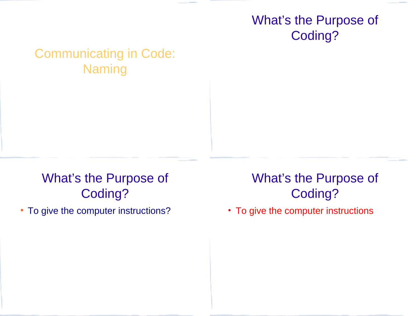### What's the Purpose of Coding?

### Communicating in Code: Naming

## What's the Purpose of Coding?

• To give the computer instructions?

## What's the Purpose of Coding?

• To give the computer instructions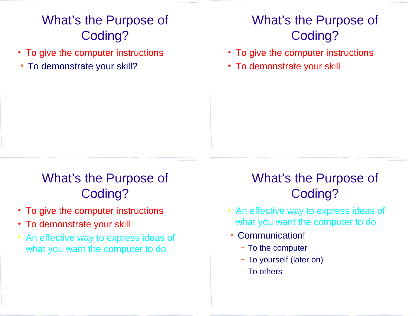# What's the Purpose of Coding?

- To give the computer instructions
- To demonstrate your skill?

## What's the Purpose of Coding?

- To give the computer instructions
- To demonstrate your skill

# What's the Purpose of Coding?

- To give the computer instructions
- To demonstrate your skill
- An effective way to express ideas of what you want the computer to do

## What's the Purpose of Coding?

- An effective way to express ideas of what you want the computer to do
- Communication!
	- To the computer
	- To yourself (later on)
	- To others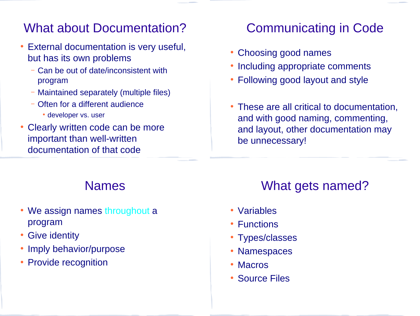#### What about Documentation?

- External documentation is very useful, but has its own problems
	- Can be out of date/inconsistent with program
	- Maintained separately (multiple files)
	- Often for a different audience
		- developer vs. user
- Clearly written code can be more important than well-written documentation of that code

### Communicating in Code

- Choosing good names
- Including appropriate comments
- Following good layout and style
- These are all critical to documentation, and with good naming, commenting, and layout, other documentation may be unnecessary!

#### Names

- We assign names throughout a program
- Give identity
- Imply behavior/purpose
- Provide recognition

#### What gets named?

- Variables
- Functions
- Types/classes
- Namespaces
- Macros
- Source Files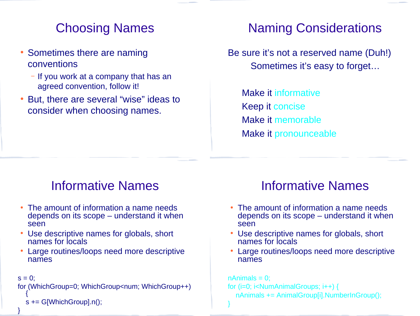## Choosing Names

- Sometimes there are naming conventions
	- If you work at a company that has an agreed convention, follow it!
- But, there are several "wise" ideas to consider when choosing names.

### Naming Considerations

Be sure it's not a reserved name (Duh!) Sometimes it's easy to forget…

Make it informative Keep it concise Make it memorable Make it pronounceable

#### Informative Names

- The amount of information a name needs depends on its scope – understand it when seen
- Use descriptive names for globals, short names for locals
- Large routines/loops need more descriptive names

```
s = 0:
for (WhichGroup=0; WhichGroup<num; WhichGroup++)
  {
  s += G[WhichGroup].n();
}
```
### Informative Names

- The amount of information a name needs depends on its scope – understand it when seen
- Use descriptive names for globals, short names for locals
- Large routines/loops need more descriptive names

```
nAnimals = 0;
for (i=0; i<NumAnimalGroups; i++) {
  nAnimals += AnimalGroup[i].NumberInGroup();
}
```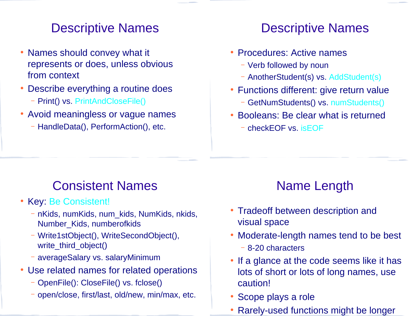#### Descriptive Names

- Names should convey what it represents or does, unless obvious from context
- Describe everything a routine does
	- Print() vs. PrintAndCloseFile()
- Avoid meaningless or vague names
	- HandleData(), PerformAction(), etc.

#### Descriptive Names

- Procedures: Active names
	- Verb followed by noun
	- AnotherStudent(s) vs. AddStudent(s)
- Functions different: give return value
	- GetNumStudents() vs. numStudents()
- Booleans: Be clear what is returned
	- checkEOF vs. isEOF

### Consistent Names

- Key: Be Consistent!
	- nKids, numKids, num\_kids, NumKids, nkids, Number\_Kids, numberofkids
	- Write1stObject(), WriteSecondObject(), write\_third\_object()
	- averageSalary vs. salaryMinimum
- Use related names for related operations
	- OpenFile(): CloseFile() vs. fclose()
	- open/close, first/last, old/new, min/max, etc.

## Name Length

- Tradeoff between description and visual space
- Moderate-length names tend to be best
	- 8-20 characters
- If a glance at the code seems like it has lots of short or lots of long names, use caution!
- Scope plays a role
- Rarely-used functions might be longer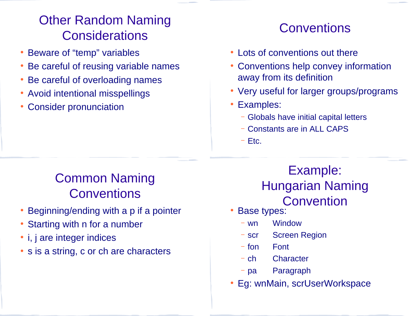## Other Random Naming **Considerations**

- Beware of "temp" variables
- Be careful of reusing variable names
- Be careful of overloading names
- Avoid intentional misspellings
- **Consider pronunciation**

### **Conventions**

- Lots of conventions out there
- Conventions help convey information away from its definition
- Very useful for larger groups/programs
- Examples:
	- Globals have initial capital letters
	- Constants are in ALL CAPS
	- Etc.

# Common Naming **Conventions**

- Beginning/ending with a p if a pointer
- Starting with n for a number
- *i*, *j* are integer indices
- s is a string, c or ch are characters

#### Example: Hungarian Naming Convention

- **Base types:** 
	- wn Window
	- scr Screen Region
	- fon Font
	- ch Character
	- pa Paragraph
- Eg: wnMain, scrUserWorkspace